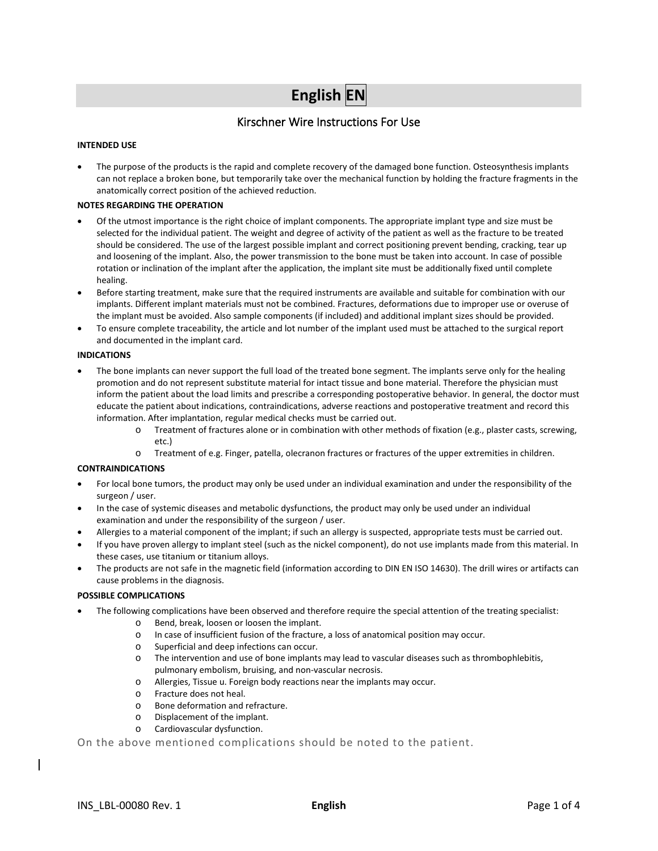# **English EN**

# Kirschner Wire Instructions For Use

### **INTENDED USE**

• The purpose of the products is the rapid and complete recovery of the damaged bone function. Osteosynthesis implants can not replace a broken bone, but temporarily take over the mechanical function by holding the fracture fragments in the anatomically correct position of the achieved reduction.

### **NOTES REGARDING THE OPERATION**

- Of the utmost importance is the right choice of implant components. The appropriate implant type and size must be selected for the individual patient. The weight and degree of activity of the patient as well as the fracture to be treated should be considered. The use of the largest possible implant and correct positioning prevent bending, cracking, tear up and loosening of the implant. Also, the power transmission to the bone must be taken into account. In case of possible rotation or inclination of the implant after the application, the implant site must be additionally fixed until complete healing.
- Before starting treatment, make sure that the required instruments are available and suitable for combination with our implants. Different implant materials must not be combined. Fractures, deformations due to improper use or overuse of the implant must be avoided. Also sample components (if included) and additional implant sizes should be provided.
- To ensure complete traceability, the article and lot number of the implant used must be attached to the surgical report and documented in the implant card.

### **INDICATIONS**

- The bone implants can never support the full load of the treated bone segment. The implants serve only for the healing promotion and do not represent substitute material for intact tissue and bone material. Therefore the physician must inform the patient about the load limits and prescribe a corresponding postoperative behavior. In general, the doctor must educate the patient about indications, contraindications, adverse reactions and postoperative treatment and record this information. After implantation, regular medical checks must be carried out.
	- o Treatment of fractures alone or in combination with other methods of fixation (e.g., plaster casts, screwing, etc.)
	- o Treatment of e.g. Finger, patella, olecranon fractures or fractures of the upper extremities in children.

### **CONTRAINDICATIONS**

- For local bone tumors, the product may only be used under an individual examination and under the responsibility of the surgeon / user.
- In the case of systemic diseases and metabolic dysfunctions, the product may only be used under an individual examination and under the responsibility of the surgeon / user.
- Allergies to a material component of the implant; if such an allergy is suspected, appropriate tests must be carried out.
- If you have proven allergy to implant steel (such as the nickel component), do not use implants made from this material. In these cases, use titanium or titanium alloys.
- The products are not safe in the magnetic field (information according to DIN EN ISO 14630). The drill wires or artifacts can cause problems in the diagnosis.

### **POSSIBLE COMPLICATIONS**

- The following complications have been observed and therefore require the special attention of the treating specialist:
	- o Bend, break, loosen or loosen the implant.
	- o In case of insufficient fusion of the fracture, a loss of anatomical position may occur.
	- o Superficial and deep infections can occur.
	- o The intervention and use of bone implants may lead to vascular diseases such as thrombophlebitis, pulmonary embolism, bruising, and non-vascular necrosis.
	- o Allergies, Tissue u. Foreign body reactions near the implants may occur.
	- o Fracture does not heal.
	- o Bone deformation and refracture.
	- o Displacement of the implant.
	- o Cardiovascular dysfunction.

On the above mentioned complications should be noted to the patient.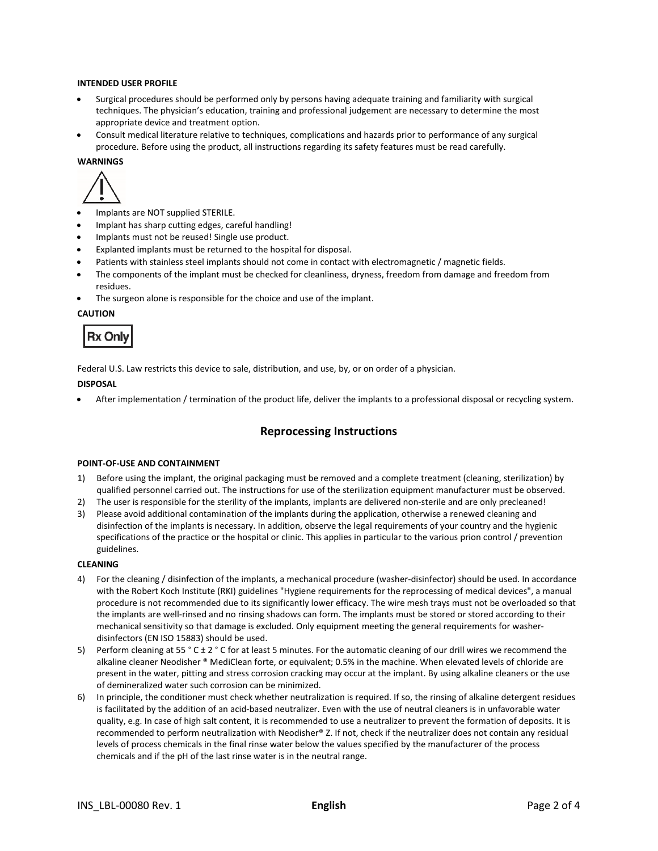### **INTENDED USER PROFILE**

- Surgical procedures should be performed only by persons having adequate training and familiarity with surgical techniques. The physician's education, training and professional judgement are necessary to determine the most appropriate device and treatment option.
- Consult medical literature relative to techniques, complications and hazards prior to performance of any surgical procedure. Before using the product, all instructions regarding its safety features must be read carefully.

### **WARNINGS**



- Implants are NOT supplied STERILE.
- Implant has sharp cutting edges, careful handling!
- Implants must not be reused! Single use product.
- Explanted implants must be returned to the hospital for disposal.
- Patients with stainless steel implants should not come in contact with electromagnetic / magnetic fields.
- The components of the implant must be checked for cleanliness, dryness, freedom from damage and freedom from residues.
- The surgeon alone is responsible for the choice and use of the implant.

### **CAUTION**



Federal U.S. Law restricts this device to sale, distribution, and use, by, or on order of a physician.

### **DISPOSAL**

• After implementation / termination of the product life, deliver the implants to a professional disposal or recycling system.

### **Reprocessing Instructions**

### **POINT-OF-USE AND CONTAINMENT**

- 1) Before using the implant, the original packaging must be removed and a complete treatment (cleaning, sterilization) by qualified personnel carried out. The instructions for use of the sterilization equipment manufacturer must be observed.
- 2) The user is responsible for the sterility of the implants, implants are delivered non-sterile and are only precleaned!
- 3) Please avoid additional contamination of the implants during the application, otherwise a renewed cleaning and disinfection of the implants is necessary. In addition, observe the legal requirements of your country and the hygienic specifications of the practice or the hospital or clinic. This applies in particular to the various prion control / prevention guidelines.

### **CLEANING**

- 4) For the cleaning / disinfection of the implants, a mechanical procedure (washer-disinfector) should be used. In accordance with the Robert Koch Institute (RKI) guidelines "Hygiene requirements for the reprocessing of medical devices", a manual procedure is not recommended due to its significantly lower efficacy. The wire mesh trays must not be overloaded so that the implants are well-rinsed and no rinsing shadows can form. The implants must be stored or stored according to their mechanical sensitivity so that damage is excluded. Only equipment meeting the general requirements for washerdisinfectors (EN ISO 15883) should be used.
- 5) Perform cleaning at 55  $\degree$  C  $\pm$  2  $\degree$  C for at least 5 minutes. For the automatic cleaning of our drill wires we recommend the alkaline cleaner Neodisher ® MediClean forte, or equivalent; 0.5% in the machine. When elevated levels of chloride are present in the water, pitting and stress corrosion cracking may occur at the implant. By using alkaline cleaners or the use of demineralized water such corrosion can be minimized.
- 6) In principle, the conditioner must check whether neutralization is required. If so, the rinsing of alkaline detergent residues is facilitated by the addition of an acid-based neutralizer. Even with the use of neutral cleaners is in unfavorable water quality, e.g. In case of high salt content, it is recommended to use a neutralizer to prevent the formation of deposits. It is recommended to perform neutralization with Neodisher® Z. If not, check if the neutralizer does not contain any residual levels of process chemicals in the final rinse water below the values specified by the manufacturer of the process chemicals and if the pH of the last rinse water is in the neutral range.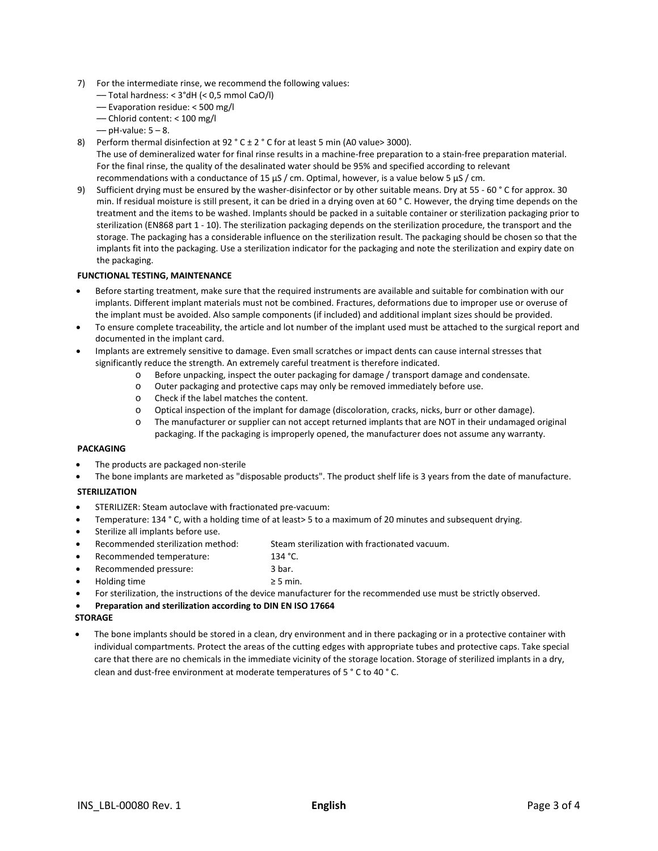- 7) For the intermediate rinse, we recommend the following values:
	- –– Total hardness: < 3°dH (< 0,5 mmol CaO/l)
	- –– Evaporation residue: < 500 mg/l
	- –– Chlorid content: < 100 mg/l
	- $-$  pH-value:  $5 8$ .
- 8) Perform thermal disinfection at  $92 °C ± 2 °C$  for at least 5 min (A0 value> 3000).

The use of demineralized water for final rinse results in a machine-free preparation to a stain-free preparation material. For the final rinse, the quality of the desalinated water should be 95% and specified according to relevant recommendations with a conductance of 15 μS / cm. Optimal, however, is a value below 5 μS / cm.

9) Sufficient drying must be ensured by the washer-disinfector or by other suitable means. Dry at 55 - 60 ° C for approx. 30 min. If residual moisture is still present, it can be dried in a drying oven at 60 ° C. However, the drying time depends on the treatment and the items to be washed. Implants should be packed in a suitable container or sterilization packaging prior to sterilization (EN868 part 1 - 10). The sterilization packaging depends on the sterilization procedure, the transport and the storage. The packaging has a considerable influence on the sterilization result. The packaging should be chosen so that the implants fit into the packaging. Use a sterilization indicator for the packaging and note the sterilization and expiry date on the packaging.

### **FUNCTIONAL TESTING, MAINTENANCE**

- Before starting treatment, make sure that the required instruments are available and suitable for combination with our implants. Different implant materials must not be combined. Fractures, deformations due to improper use or overuse of the implant must be avoided. Also sample components (if included) and additional implant sizes should be provided.
- To ensure complete traceability, the article and lot number of the implant used must be attached to the surgical report and documented in the implant card.
- Implants are extremely sensitive to damage. Even small scratches or impact dents can cause internal stresses that significantly reduce the strength. An extremely careful treatment is therefore indicated.
	- o Before unpacking, inspect the outer packaging for damage / transport damage and condensate.
	- o Outer packaging and protective caps may only be removed immediately before use.
	- o Check if the label matches the content.
	- o Optical inspection of the implant for damage (discoloration, cracks, nicks, burr or other damage).
	- o The manufacturer or supplier can not accept returned implants that are NOT in their undamaged original packaging. If the packaging is improperly opened, the manufacturer does not assume any warranty.

### **PACKAGING**

- The products are packaged non-sterile
- The bone implants are marketed as "disposable products". The product shelf life is 3 years from the date of manufacture.

### **STERILIZATION**

- STERILIZER: Steam autoclave with fractionated pre-vacuum:
- Temperature: 134 ° C, with a holding time of at least> 5 to a maximum of 20 minutes and subsequent drying.
- Sterilize all implants before use.
- Recommended sterilization method: Steam sterilization with fractionated vacuum.
- Recommended temperature: 134 °C.
	-
- Recommended pressure: 3 bar.  $Holding time$   $\geq$  5 min.
- For sterilization, the instructions of the device manufacturer for the recommended use must be strictly observed.
- **Preparation and sterilization according to DIN EN ISO 17664**

### **STORAGE**

• The bone implants should be stored in a clean, dry environment and in there packaging or in a protective container with individual compartments. Protect the areas of the cutting edges with appropriate tubes and protective caps. Take special care that there are no chemicals in the immediate vicinity of the storage location. Storage of sterilized implants in a dry, clean and dust-free environment at moderate temperatures of 5 ° C to 40 ° C.